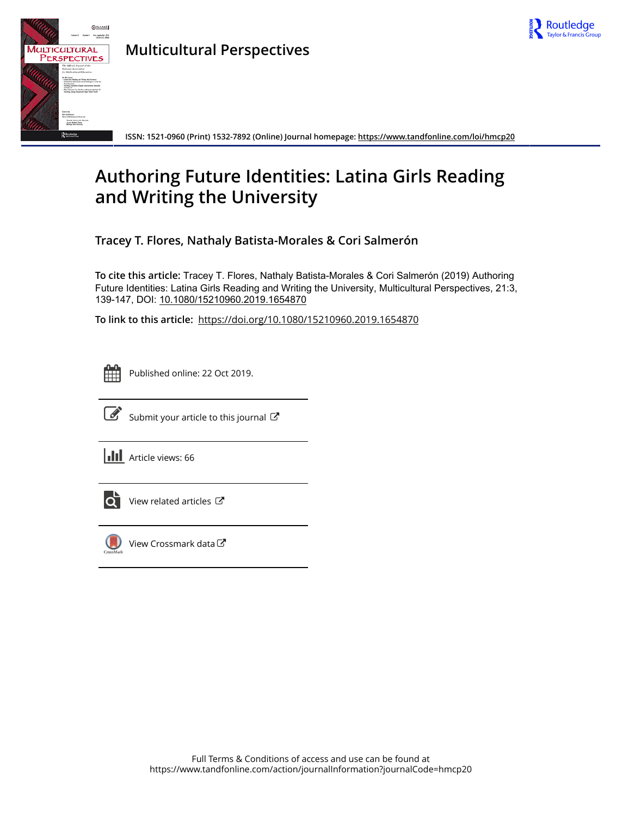



**Multicultural Perspectives**

**ISSN: 1521-0960 (Print) 1532-7892 (Online) Journal homepage:<https://www.tandfonline.com/loi/hmcp20>**

# **Authoring Future Identities: Latina Girls Reading and Writing the University**

**Tracey T. Flores, Nathaly Batista-Morales & Cori Salmerón**

**To cite this article:** Tracey T. Flores, Nathaly Batista-Morales & Cori Salmerón (2019) Authoring Future Identities: Latina Girls Reading and Writing the University, Multicultural Perspectives, 21:3, 139-147, DOI: [10.1080/15210960.2019.1654870](https://www.tandfonline.com/action/showCitFormats?doi=10.1080/15210960.2019.1654870)

**To link to this article:** <https://doi.org/10.1080/15210960.2019.1654870>



Published online: 22 Oct 2019.



 $\overrightarrow{S}$  [Submit your article to this journal](https://www.tandfonline.com/action/authorSubmission?journalCode=hmcp20&show=instructions)  $\overrightarrow{S}$ 

**III** Article views: 66



[View related articles](https://www.tandfonline.com/doi/mlt/10.1080/15210960.2019.1654870) C



[View Crossmark data](http://crossmark.crossref.org/dialog/?doi=10.1080/15210960.2019.1654870&domain=pdf&date_stamp=2019-10-22)<sup>C</sup>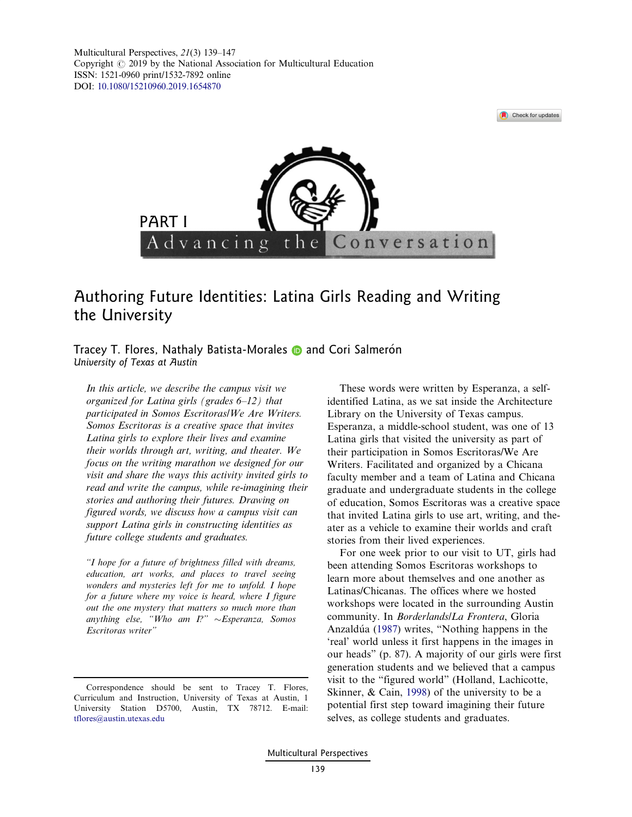<span id="page-1-0"></span>Multicultural Perspectives, 21(3) 139–147 Copyright  $\odot$  2019 by the National Association for Multicultural Education ISSN: 1521-0960 print/1532-7892 online DOI: [10.1080/15210960.2019.1654870](https://doi.org/10.1080/15210960.2019.1654870)



# Authoring Future Identities: Latina Girls Reading and Writing the University

Tracey T. Flores, Nathaly Batista-Morales  $\bullet$  and Cori Salmeron University of Texas at Austin

In this article, we describe the campus visit we organized for Latina girls (grades 6–12) that participated in Somos Escritoras/We Are Writers. Somos Escritoras is a creative space that invites Latina girls to explore their lives and examine their worlds through art, writing, and theater. We focus on the writing marathon we designed for our visit and share the ways this activity invited girls to read and write the campus, while re-imagining their stories and authoring their futures. Drawing on figured words, we discuss how a campus visit can support Latina girls in constructing identities as future college students and graduates.

"I hope for a future of brightness filled with dreams, education, art works, and places to travel seeing wonders and mysteries left for me to unfold. I hope for a future where my voice is heard, where I figure out the one mystery that matters so much more than anything else, "Who am I?"  $\sim$ Esperanza, Somos Escritoras writer"

These words were written by Esperanza, a selfidentified Latina, as we sat inside the Architecture Library on the University of Texas campus. Esperanza, a middle-school student, was one of 13 Latina girls that visited the university as part of their participation in Somos Escritoras/We Are Writers. Facilitated and organized by a Chicana faculty member and a team of Latina and Chicana graduate and undergraduate students in the college of education, Somos Escritoras was a creative space that invited Latina girls to use art, writing, and theater as a vehicle to examine their worlds and craft stories from their lived experiences.

Check for updates

For one week prior to our visit to UT, girls had been attending Somos Escritoras workshops to learn more about themselves and one another as Latinas/Chicanas. The offices where we hosted workshops were located in the surrounding Austin community. In Borderlands/La Frontera, Gloria Anzaldúa ([1987](#page-8-0)) writes, "Nothing happens in the 'real' world unless it first happens in the images in our heads" (p. 87). A majority of our girls were first generation students and we believed that a campus visit to the "figured world" (Holland, Lachicotte, Skinner, & Cain, [1998\)](#page-8-0) of the university to be a potential first step toward imagining their future selves, as college students and graduates.

Correspondence should be sent to Tracey T. Flores, Curriculum and Instruction, University of Texas at Austin, 1 University Station D5700, Austin, TX 78712. E-mail: tflores@austin.utexas.edu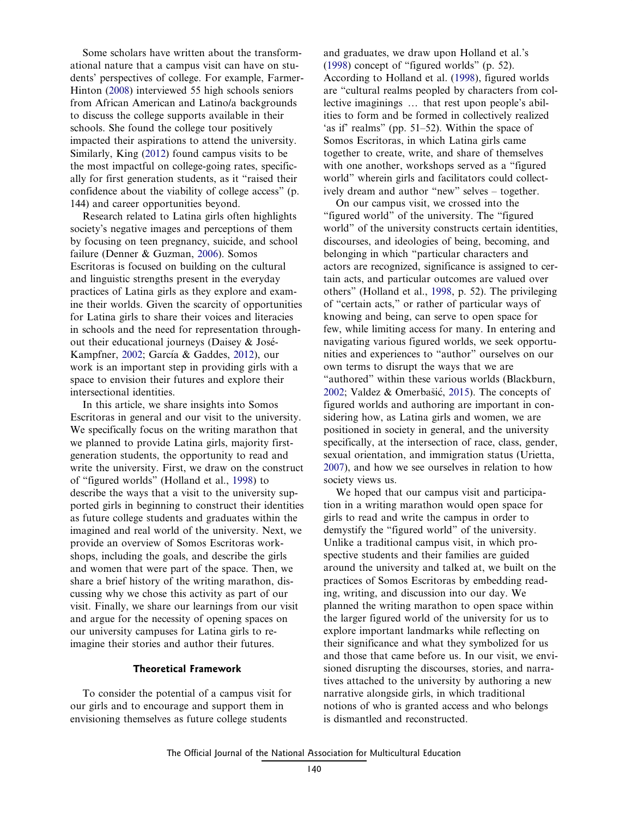<span id="page-2-0"></span>Some scholars have written about the transformational nature that a campus visit can have on students' perspectives of college. For example, Farmer-Hinton ([2008\)](#page-8-0) interviewed 55 high schools seniors from African American and Latino/a backgrounds to discuss the college supports available in their schools. She found the college tour positively impacted their aspirations to attend the university. Similarly, King ([2012\)](#page-8-0) found campus visits to be the most impactful on college-going rates, specifically for first generation students, as it "raised their confidence about the viability of college access" (p. 144) and career opportunities beyond.

Research related to Latina girls often highlights society's negative images and perceptions of them by focusing on teen pregnancy, suicide, and school failure (Denner & Guzman, [2006](#page-8-0)). Somos Escritoras is focused on building on the cultural and linguistic strengths present in the everyday practices of Latina girls as they explore and examine their worlds. Given the scarcity of opportunities for Latina girls to share their voices and literacies in schools and the need for representation throughout their educational journeys (Daisey & Jose-Kampfner, [2002](#page-8-0); García & Gaddes, [2012](#page-8-0)), our work is an important step in providing girls with a space to envision their futures and explore their intersectional identities.

In this article, we share insights into Somos Escritoras in general and our visit to the university. We specifically focus on the writing marathon that we planned to provide Latina girls, majority firstgeneration students, the opportunity to read and write the university. First, we draw on the construct of "figured worlds" (Holland et al., [1998](#page-8-0)) to describe the ways that a visit to the university supported girls in beginning to construct their identities as future college students and graduates within the imagined and real world of the university. Next, we provide an overview of Somos Escritoras workshops, including the goals, and describe the girls and women that were part of the space. Then, we share a brief history of the writing marathon, discussing why we chose this activity as part of our visit. Finally, we share our learnings from our visit and argue for the necessity of opening spaces on our university campuses for Latina girls to reimagine their stories and author their futures.

# Theoretical Framework

To consider the potential of a campus visit for our girls and to encourage and support them in envisioning themselves as future college students

and graduates, we draw upon Holland et al.'s ([1998\)](#page-8-0) concept of "figured worlds" (p. 52). According to Holland et al. [\(1998](#page-8-0)), figured worlds are "cultural realms peopled by characters from collective imaginings … that rest upon people's abilities to form and be formed in collectively realized 'as if' realms" (pp. 51–52). Within the space of Somos Escritoras, in which Latina girls came together to create, write, and share of themselves with one another, workshops served as a "figured world" wherein girls and facilitators could collectively dream and author "new" selves – together.

On our campus visit, we crossed into the "figured world" of the university. The "figured world" of the university constructs certain identities, discourses, and ideologies of being, becoming, and belonging in which "particular characters and actors are recognized, significance is assigned to certain acts, and particular outcomes are valued over others" (Holland et al., [1998,](#page-8-0) p. 52). The privileging of "certain acts," or rather of particular ways of knowing and being, can serve to open space for few, while limiting access for many. In entering and navigating various figured worlds, we seek opportunities and experiences to "author" ourselves on our own terms to disrupt the ways that we are "authored" within these various worlds (Blackburn, [2002;](#page-8-0) Valdez & Omerbasic, [2015\)](#page-9-0). The concepts of figured worlds and authoring are important in considering how, as Latina girls and women, we are positioned in society in general, and the university specifically, at the intersection of race, class, gender, sexual orientation, and immigration status (Urietta, [2007\)](#page-9-0), and how we see ourselves in relation to how society views us.

We hoped that our campus visit and participation in a writing marathon would open space for girls to read and write the campus in order to demystify the "figured world" of the university. Unlike a traditional campus visit, in which prospective students and their families are guided around the university and talked at, we built on the practices of Somos Escritoras by embedding reading, writing, and discussion into our day. We planned the writing marathon to open space within the larger figured world of the university for us to explore important landmarks while reflecting on their significance and what they symbolized for us and those that came before us. In our visit, we envisioned disrupting the discourses, stories, and narratives attached to the university by authoring a new narrative alongside girls, in which traditional notions of who is granted access and who belongs is dismantled and reconstructed.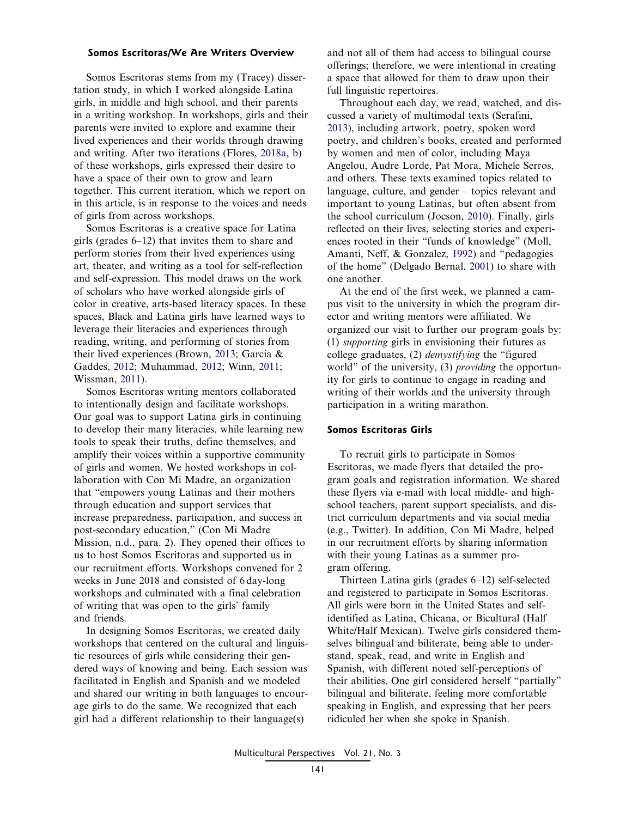## <span id="page-3-0"></span>Somos Escritoras/We Are Writers Overview

Somos Escritoras stems from my (Tracey) dissertation study, in which I worked alongside Latina girls, in middle and high school, and their parents in a writing workshop. In workshops, girls and their parents were invited to explore and examine their lived experiences and their worlds through drawing and writing. After two iterations (Flores, [2018a,](#page-8-0) [b](#page-8-0)) of these workshops, girls expressed their desire to have a space of their own to grow and learn together. This current iteration, which we report on in this article, is in response to the voices and needs of girls from across workshops.

Somos Escritoras is a creative space for Latina girls (grades 6–12) that invites them to share and perform stories from their lived experiences using art, theater, and writing as a tool for self-reflection and self-expression. This model draws on the work of scholars who have worked alongside girls of color in creative, arts-based literacy spaces. In these spaces, Black and Latina girls have learned ways to leverage their literacies and experiences through reading, writing, and performing of stories from their lived experiences (Brown, [2013](#page-8-0); García  $\&$ Gaddes, [2012](#page-8-0); Muhammad, [2012](#page-9-0); Winn, [2011;](#page-9-0) Wissman, [2011\)](#page-9-0).

Somos Escritoras writing mentors collaborated to intentionally design and facilitate workshops. Our goal was to support Latina girls in continuing to develop their many literacies, while learning new tools to speak their truths, define themselves, and amplify their voices within a supportive community of girls and women. We hosted workshops in collaboration with Con Mi Madre, an organization that "empowers young Latinas and their mothers through education and support services that increase preparedness, participation, and success in post-secondary education," (Con Mi Madre Mission, n.[d](#page-8-0)., para. 2). They opened their offices to us to host Somos Escritoras and supported us in our recruitment efforts. Workshops convened for 2 weeks in June 2018 and consisted of 6 day-long workshops and culminated with a final celebration of writing that was open to the girls' family and friends.

In designing Somos Escritoras, we created daily workshops that centered on the cultural and linguistic resources of girls while considering their gendered ways of knowing and being. Each session was facilitated in English and Spanish and we modeled and shared our writing in both languages to encourage girls to do the same. We recognized that each girl had a different relationship to their language(s)

and not all of them had access to bilingual course offerings; therefore, we were intentional in creating a space that allowed for them to draw upon their full linguistic repertoires.

Throughout each day, we read, watched, and discussed a variety of multimodal texts (Serafini, [2013](#page-9-0)), including artwork, poetry, spoken word poetry, and children's books, created and performed by women and men of color, including Maya Angelou, Audre Lorde, Pat Mora, Michele Serros, and others. These texts examined topics related to language, culture, and gender – topics relevant and important to young Latinas, but often absent from the school curriculum (Jocson, [2010](#page-8-0)). Finally, girls reflected on their lives, selecting stories and experiences rooted in their "funds of knowledge" (Moll, Amanti, Neff, & Gonzalez, [1992](#page-8-0)) and "pedagogies of the home" (Delgado Bernal, [2001](#page-8-0)) to share with one another.

At the end of the first week, we planned a campus visit to the university in which the program director and writing mentors were affiliated. We organized our visit to further our program goals by: (1) supporting girls in envisioning their futures as college graduates, (2) demystifying the "figured world" of the university, (3) *providing* the opportunity for girls to continue to engage in reading and writing of their worlds and the university through participation in a writing marathon.

#### Somos Escritoras Girls

To recruit girls to participate in Somos Escritoras, we made flyers that detailed the program goals and registration information. We shared these flyers via e-mail with local middle- and highschool teachers, parent support specialists, and district curriculum departments and via social media (e.g., Twitter). In addition, Con Mi Madre, helped in our recruitment efforts by sharing information with their young Latinas as a summer program offering.

Thirteen Latina girls (grades 6–12) self-selected and registered to participate in Somos Escritoras. All girls were born in the United States and selfidentified as Latina, Chicana, or Bicultural (Half White/Half Mexican). Twelve girls considered themselves bilingual and biliterate, being able to understand, speak, read, and write in English and Spanish, with different noted self-perceptions of their abilities. One girl considered herself "partially" bilingual and biliterate, feeling more comfortable speaking in English, and expressing that her peers ridiculed her when she spoke in Spanish.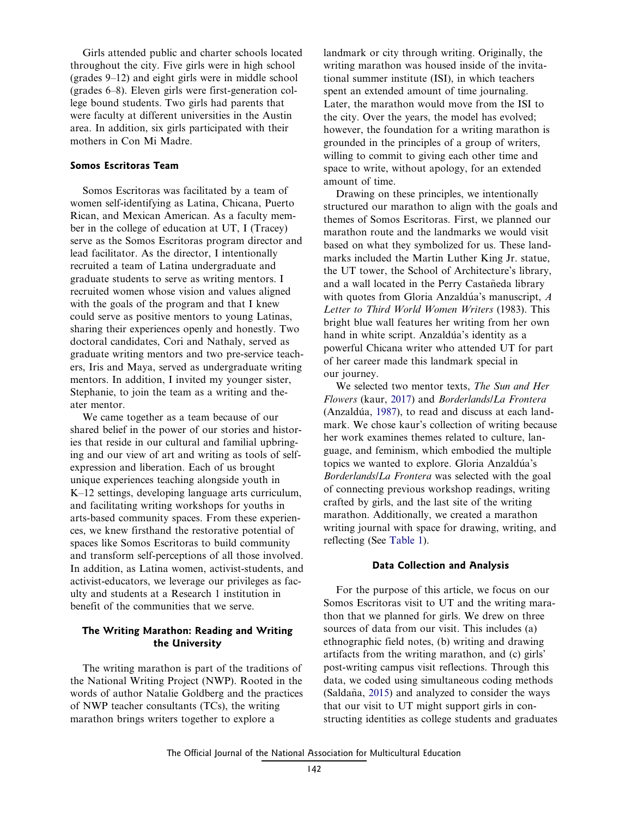<span id="page-4-0"></span>Girls attended public and charter schools located throughout the city. Five girls were in high school (grades 9–12) and eight girls were in middle school (grades 6–8). Eleven girls were first-generation college bound students. Two girls had parents that were faculty at different universities in the Austin area. In addition, six girls participated with their mothers in Con Mi Madre.

#### Somos Escritoras Team

Somos Escritoras was facilitated by a team of women self-identifying as Latina, Chicana, Puerto Rican, and Mexican American. As a faculty member in the college of education at UT, I (Tracey) serve as the Somos Escritoras program director and lead facilitator. As the director, I intentionally recruited a team of Latina undergraduate and graduate students to serve as writing mentors. I recruited women whose vision and values aligned with the goals of the program and that I knew could serve as positive mentors to young Latinas, sharing their experiences openly and honestly. Two doctoral candidates, Cori and Nathaly, served as graduate writing mentors and two pre-service teachers, Iris and Maya, served as undergraduate writing mentors. In addition, I invited my younger sister, Stephanie, to join the team as a writing and theater mentor.

We came together as a team because of our shared belief in the power of our stories and histories that reside in our cultural and familial upbringing and our view of art and writing as tools of selfexpression and liberation. Each of us brought unique experiences teaching alongside youth in K–12 settings, developing language arts curriculum, and facilitating writing workshops for youths in arts-based community spaces. From these experiences, we knew firsthand the restorative potential of spaces like Somos Escritoras to build community and transform self-perceptions of all those involved. In addition, as Latina women, activist-students, and activist-educators, we leverage our privileges as faculty and students at a Research 1 institution in benefit of the communities that we serve.

# The Writing Marathon: Reading and Writing the University

The writing marathon is part of the traditions of the National Writing Project (NWP). Rooted in the words of author Natalie Goldberg and the practices of NWP teacher consultants (TCs), the writing marathon brings writers together to explore a

landmark or city through writing. Originally, the writing marathon was housed inside of the invitational summer institute (ISI), in which teachers spent an extended amount of time journaling. Later, the marathon would move from the ISI to the city. Over the years, the model has evolved; however, the foundation for a writing marathon is grounded in the principles of a group of writers, willing to commit to giving each other time and space to write, without apology, for an extended amount of time.

Drawing on these principles, we intentionally structured our marathon to align with the goals and themes of Somos Escritoras. First, we planned our marathon route and the landmarks we would visit based on what they symbolized for us. These landmarks included the Martin Luther King Jr. statue, the UT tower, the School of Architecture's library, and a wall located in the Perry Castañeda library with quotes from Gloria Anzaldúa's manuscript,  $A$ Letter to Third World Women Writers (1983). This bright blue wall features her writing from her own hand in white script. Anzaldúa's identity as a powerful Chicana writer who attended UT for part of her career made this landmark special in our journey.

We selected two mentor texts, The Sun and Her Flowers (kaur, [2017\)](#page-8-0) and Borderlands/La Frontera (Anzaldúa, [1987](#page-8-0)), to read and discuss at each landmark. We chose kaur's collection of writing because her work examines themes related to culture, language, and feminism, which embodied the multiple topics we wanted to explore. Gloria Anzaldúa's Borderlands/La Frontera was selected with the goal of connecting previous workshop readings, writing crafted by girls, and the last site of the writing marathon. Additionally, we created a marathon writing journal with space for drawing, writing, and reflecting (See Table 1).

#### Data Collection and Analysis

For the purpose of this article, we focus on our Somos Escritoras visit to UT and the writing marathon that we planned for girls. We drew on three sources of data from our visit. This includes (a) ethnographic field notes, (b) writing and drawing artifacts from the writing marathon, and (c) girls' post-writing campus visit reflections. Through this data, we coded using simultaneous coding methods  $(Saldaña, 2015)$  $(Saldaña, 2015)$  $(Saldaña, 2015)$  and analyzed to consider the ways that our visit to UT might support girls in constructing identities as college students and graduates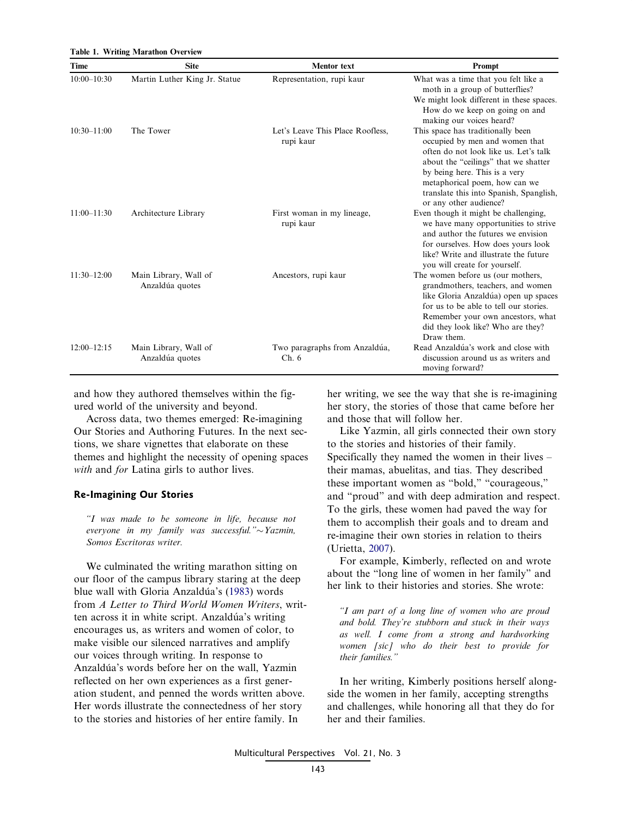<span id="page-5-0"></span>

| Time            | <b>Site</b>                              | <b>Mentor</b> text                            | Prompt                                                                                                                                                                                                                                                                                      |
|-----------------|------------------------------------------|-----------------------------------------------|---------------------------------------------------------------------------------------------------------------------------------------------------------------------------------------------------------------------------------------------------------------------------------------------|
| $10:00 - 10:30$ | Martin Luther King Jr. Statue            | Representation, rupi kaur                     | What was a time that you felt like a<br>moth in a group of butterflies?<br>We might look different in these spaces.<br>How do we keep on going on and<br>making our voices heard?                                                                                                           |
| $10:30 - 11:00$ | The Tower                                | Let's Leave This Place Roofless.<br>rupi kaur | This space has traditionally been<br>occupied by men and women that<br>often do not look like us. Let's talk<br>about the "ceilings" that we shatter<br>by being here. This is a very<br>metaphorical poem, how can we<br>translate this into Spanish, Spanglish,<br>or any other audience? |
| $11:00 - 11:30$ | Architecture Library                     | First woman in my lineage,<br>rupi kaur       | Even though it might be challenging,<br>we have many opportunities to strive<br>and author the futures we envision<br>for ourselves. How does yours look<br>like? Write and illustrate the future<br>you will create for yourself.                                                          |
| $11:30-12:00$   | Main Library, Wall of<br>Anzaldúa quotes | Ancestors, rupi kaur                          | The women before us (our mothers,<br>grandmothers, teachers, and women<br>like Gloria Anzaldúa) open up spaces<br>for us to be able to tell our stories.<br>Remember your own ancestors, what<br>did they look like? Who are they?<br>Draw them.                                            |
| $12:00 - 12:15$ | Main Library, Wall of<br>Anzaldúa quotes | Two paragraphs from Anzaldúa,<br>Ch.6         | Read Anzaldúa's work and close with<br>discussion around us as writers and<br>moving forward?                                                                                                                                                                                               |

and how they authored themselves within the figured world of the university and beyond.

Across data, two themes emerged: Re-imagining Our Stories and Authoring Futures. In the next sections, we share vignettes that elaborate on these themes and highlight the necessity of opening spaces with and for Latina girls to author lives.

#### Re-Imagining Our Stories

"I was made to be someone in life, because not everyone in my family was successful." $\sim$ Yazmin, Somos Escritoras writer.

We culminated the writing marathon sitting on our floor of the campus library staring at the deep blue wall with Gloria Anzaldúa's ([1983](#page-8-0)) words from A Letter to Third World Women Writers, written across it in white script. Anzaldúa's writing encourages us, as writers and women of color, to make visible our silenced narratives and amplify our voices through writing. In response to Anzaldúa's words before her on the wall, Yazmin reflected on her own experiences as a first generation student, and penned the words written above. Her words illustrate the connectedness of her story to the stories and histories of her entire family. In

her writing, we see the way that she is re-imagining her story, the stories of those that came before her and those that will follow her.

Like Yazmin, all girls connected their own story to the stories and histories of their family. Specifically they named the women in their lives – their mamas, abuelitas, and tias. They described these important women as "bold," "courageous," and "proud" and with deep admiration and respect. To the girls, these women had paved the way for them to accomplish their goals and to dream and re-imagine their own stories in relation to theirs (Urietta, [2007](#page-9-0)).

For example, Kimberly, reflected on and wrote about the "long line of women in her family" and her link to their histories and stories. She wrote:

"I am part of a long line of women who are proud and bold. They're stubborn and stuck in their ways as well. I come from a strong and hardworking women [sic] who do their best to provide for their families."

In her writing, Kimberly positions herself alongside the women in her family, accepting strengths and challenges, while honoring all that they do for her and their families.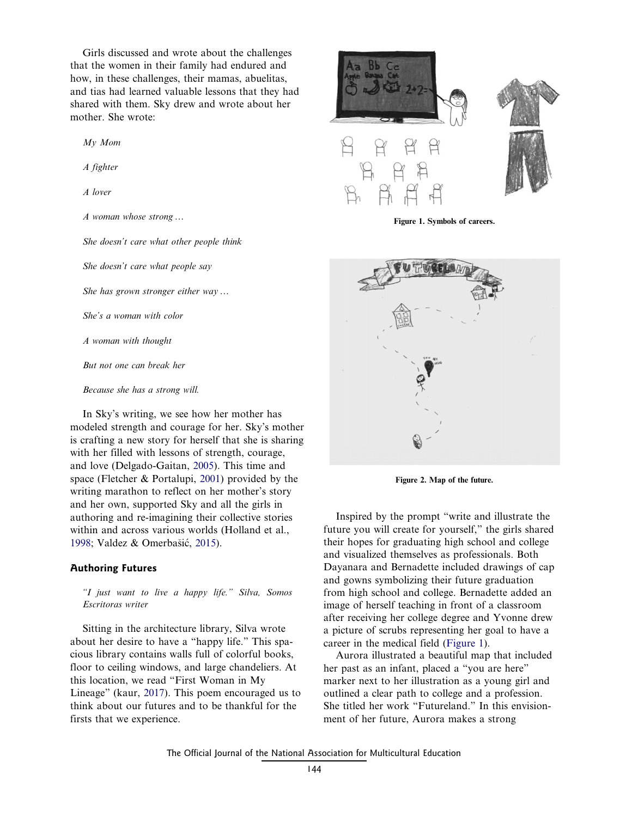<span id="page-6-0"></span>Girls discussed and wrote about the challenges that the women in their family had endured and how, in these challenges, their mamas, abuelitas, and tias had learned valuable lessons that they had shared with them. Sky drew and wrote about her mother. She wrote:

My Mom

A fighter

A lover

A woman whose strong …

She doesn't care what other people think

She doesn't care what people say

She has grown stronger either way…

She's a woman with color

A woman with thought

But not one can break her

Because she has a strong will.

In Sky's writing, we see how her mother has modeled strength and courage for her. Sky's mother is crafting a new story for herself that she is sharing with her filled with lessons of strength, courage, and love (Delgado-Gaitan, [2005](#page-8-0)). This time and space (Fletcher & Portalupi, [2001\)](#page-8-0) provided by the writing marathon to reflect on her mother's story and her own, supported Sky and all the girls in authoring and re-imagining their collective stories within and across various worlds (Holland et al., [1998](#page-8-0); Valdez & Omerbašić, [2015](#page-9-0)).

# Authoring Futures

"I just want to live a happy life." Silva, Somos Escritoras writer

Sitting in the architecture library, Silva wrote about her desire to have a "happy life." This spacious library contains walls full of colorful books, floor to ceiling windows, and large chandeliers. At this location, we read "First Woman in My Lineage" (kaur, [2017](#page-8-0)). This poem encouraged us to think about our futures and to be thankful for the firsts that we experience.





Figure 1. Symbols of careers.



Figure 2. Map of the future.

Inspired by the prompt "write and illustrate the future you will create for yourself," the girls shared their hopes for graduating high school and college and visualized themselves as professionals. Both Dayanara and Bernadette included drawings of cap and gowns symbolizing their future graduation from high school and college. Bernadette added an image of herself teaching in front of a classroom after receiving her college degree and Yvonne drew a picture of scrubs representing her goal to have a career in the medical field (Figure 1).

Aurora illustrated a beautiful map that included her past as an infant, placed a "you are here" marker next to her illustration as a young girl and outlined a clear path to college and a profession. She titled her work "Futureland." In this envisionment of her future, Aurora makes a strong

The Official Journal of the National Association for Multicultural Education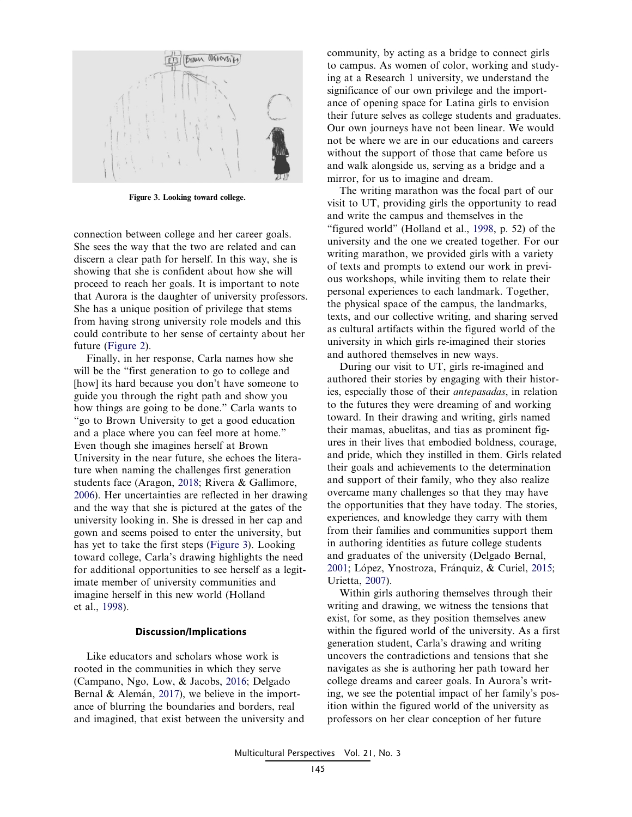<span id="page-7-0"></span>

Figure 3. Looking toward college.

connection between college and her career goals. She sees the way that the two are related and can discern a clear path for herself. In this way, she is showing that she is confident about how she will proceed to reach her goals. It is important to note that Aurora is the daughter of university professors. She has a unique position of privilege that stems from having strong university role models and this could contribute to her sense of certainty about her future [\(Figure 2\)](#page-6-0).

Finally, in her response, Carla names how she will be the "first generation to go to college and [how] its hard because you don't have someone to guide you through the right path and show you how things are going to be done." Carla wants to "go to Brown University to get a good education and a place where you can feel more at home." Even though she imagines herself at Brown University in the near future, she echoes the literature when naming the challenges first generation students face (Aragon, [2018;](#page-8-0) Rivera & Gallimore, [2006\)](#page-9-0). Her uncertainties are reflected in her drawing and the way that she is pictured at the gates of the university looking in. She is dressed in her cap and gown and seems poised to enter the university, but has yet to take the first steps (Figure 3). Looking toward college, Carla's drawing highlights the need for additional opportunities to see herself as a legitimate member of university communities and imagine herself in this new world (Holland et al., [1998](#page-8-0)).

#### Discussion/Implications

Like educators and scholars whose work is rooted in the communities in which they serve (Campano, Ngo, Low, & Jacobs, [2016;](#page-8-0) Delgado Bernal  $&$  Alemán, [2017\)](#page-8-0), we believe in the importance of blurring the boundaries and borders, real and imagined, that exist between the university and

community, by acting as a bridge to connect girls to campus. As women of color, working and studying at a Research 1 university, we understand the significance of our own privilege and the importance of opening space for Latina girls to envision their future selves as college students and graduates. Our own journeys have not been linear. We would not be where we are in our educations and careers without the support of those that came before us and walk alongside us, serving as a bridge and a mirror, for us to imagine and dream.

The writing marathon was the focal part of our visit to UT, providing girls the opportunity to read and write the campus and themselves in the "figured world" (Holland et al., [1998](#page-8-0), p. 52) of the university and the one we created together. For our writing marathon, we provided girls with a variety of texts and prompts to extend our work in previous workshops, while inviting them to relate their personal experiences to each landmark. Together, the physical space of the campus, the landmarks, texts, and our collective writing, and sharing served as cultural artifacts within the figured world of the university in which girls re-imagined their stories and authored themselves in new ways.

During our visit to UT, girls re-imagined and authored their stories by engaging with their histories, especially those of their antepasadas, in relation to the futures they were dreaming of and working toward. In their drawing and writing, girls named their mamas, abuelitas, and tias as prominent figures in their lives that embodied boldness, courage, and pride, which they instilled in them. Girls related their goals and achievements to the determination and support of their family, who they also realize overcame many challenges so that they may have the opportunities that they have today. The stories, experiences, and knowledge they carry with them from their families and communities support them in authoring identities as future college students and graduates of the university (Delgado Bernal, [2001](#page-8-0); López, Ynostroza, Fránquiz, & Curiel, [2015](#page-8-0); Urietta, [2007](#page-9-0)).

Within girls authoring themselves through their writing and drawing, we witness the tensions that exist, for some, as they position themselves anew within the figured world of the university. As a first generation student, Carla's drawing and writing uncovers the contradictions and tensions that she navigates as she is authoring her path toward her college dreams and career goals. In Aurora's writing, we see the potential impact of her family's position within the figured world of the university as professors on her clear conception of her future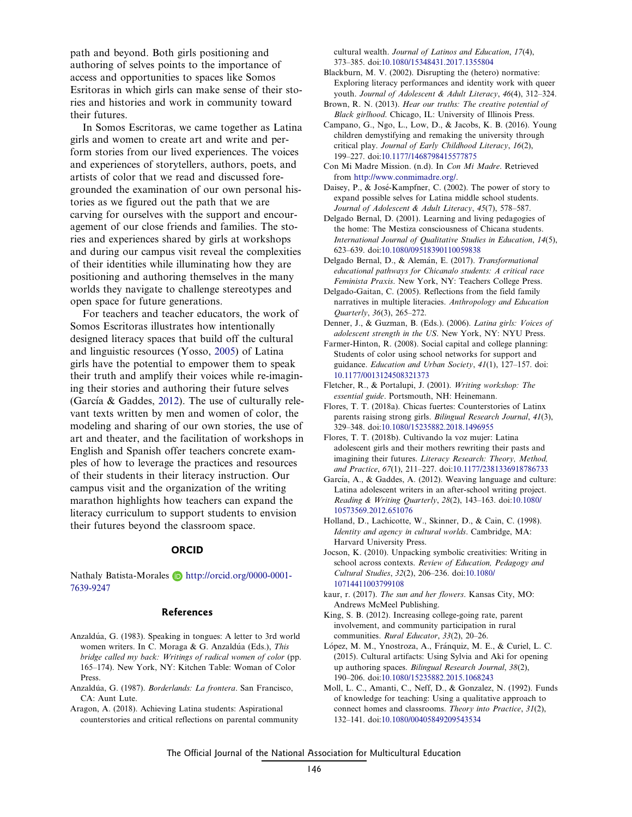<span id="page-8-0"></span>path and beyond. Both girls positioning and authoring of selves points to the importance of access and opportunities to spaces like Somos Esritoras in which girls can make sense of their stories and histories and work in community toward their futures.

In Somos Escritoras, we came together as Latina girls and women to create art and write and perform stories from our lived experiences. The voices and experiences of storytellers, authors, poets, and artists of color that we read and discussed foregrounded the examination of our own personal histories as we figured out the path that we are carving for ourselves with the support and encouragement of our close friends and families. The stories and experiences shared by girls at workshops and during our campus visit reveal the complexities of their identities while illuminating how they are positioning and authoring themselves in the many worlds they navigate to challenge stereotypes and open space for future generations.

For teachers and teacher educators, the work of Somos Escritoras illustrates how intentionally designed literacy spaces that build off the cultural and linguistic resources (Yosso, [2005\)](#page-9-0) of Latina girls have the potential to empower them to speak their truth and amplify their voices while re-imagining their stories and authoring their future selves (García & Gaddes, 2012). The use of culturally relevant texts written by men and women of color, the modeling and sharing of our own stories, the use of art and theater, and the facilitation of workshops in English and Spanish offer teachers concrete examples of how to leverage the practices and resources of their students in their literacy instruction. Our campus visit and the organization of the writing marathon highlights how teachers can expand the literacy curriculum to support students to envision their futures beyond the classroom space.

# **ORCID**

Nathaly Batista-Morales **b** http://orcid.org/0000-0001-7639-9247

#### References

- Anzaldúa, G. [\(1983](#page-5-0)). Speaking in tongues: A letter to 3rd world women writers. In C. Moraga & G. Anzaldúa (Eds.), This bridge called my back: Writings of radical women of color (pp. 165–174). New York, NY: Kitchen Table: Woman of Color Press.
- Anzaldúa, G. [\(1987](#page-1-0)). Borderlands: La frontera. San Francisco, CA: Aunt Lute.
- Aragon, A. ([2018\)](#page-7-0). Achieving Latina students: Aspirational counterstories and critical reflections on parental community

cultural wealth. Journal of Latinos and Education, 17(4), 373–385. doi:[10.1080/15348431.2017.1355804](https://doi.org/10.1080/15348431.2017.1355804)

Blackburn, M. V. [\(2002](#page-2-0)). Disrupting the (hetero) normative: Exploring literacy performances and identity work with queer youth. Journal of Adolescent & Adult Literacy, 46(4), 312–324.

- Brown, R. N. ([2013\)](#page-3-0). Hear our truths: The creative potential of Black girlhood. Chicago, IL: University of Illinois Press.
- Campano, G., Ngo, L., Low, D., & Jacobs, K. B. ([2016\)](#page-7-0). Young children demystifying and remaking the university through critical play. Journal of Early Childhood Literacy, 16(2), 199–227. doi:[10.1177/1468798415577875](https://doi.org/10.1177/1468798415577875)
- Con Mi Madre Mission. ([n.d\)](#page-3-0). In Con Mi Madre. Retrieved from [http://www.conmimadre.org/.](http://www.conmimadre.org/)
- Daisey, P., & José-Kampfner, C. ([2002\)](#page-2-0). The power of story to expand possible selves for Latina middle school students. Journal of Adolescent & Adult Literacy, 45(7), 578–587.
- Delgado Bernal, D. ([2001\)](#page-3-0). Learning and living pedagogies of the home: The Mestiza consciousness of Chicana students. International Journal of Qualitative Studies in Education, 14(5), 623–639. doi:[10.1080/09518390110059838](https://doi.org/10.1080/09518390110059838)
- Delgado Bernal, D., & Alemán, E. ([2017\)](#page-7-0). Transformational educational pathways for Chicanalo students: A critical race Feminista Praxis. New York, NY: Teachers College Press.
- Delgado-Gaitan, C. [\(2005](#page-6-0)). Reflections from the field family narratives in multiple literacies. Anthropology and Education Quarterly, 36(3), 265–272.
- Denner, J., & Guzman, B. (Eds.). ([2006\)](#page-2-0). Latina girls: Voices of adolescent strength in the US. New York, NY: NYU Press.
- Farmer-Hinton, R. [\(2008](#page-2-0)). Social capital and college planning: Students of color using school networks for support and guidance. Education and Urban Society, 41(1), 127-157. doi: [10.1177/0013124508321373](https://doi.org/10.1177/0013124508321373)
- Fletcher, R., & Portalupi, J. ([2001\)](#page-6-0). Writing workshop: The essential guide. Portsmouth, NH: Heinemann.
- Flores, T. T. [\(2018a](#page-3-0)). Chicas fuertes: Counterstories of Latinx parents raising strong girls. Bilingual Research Journal, 41(3), 329–348. doi:[10.1080/15235882.2018.1496955](https://doi.org/10.1080/15235882.2018.1496955)
- Flores, T. T. [\(2018b](#page-3-0)). Cultivando la voz mujer: Latina adolescent girls and their mothers rewriting their pasts and imagining their futures. Literacy Research: Theory, Method, and Practice, 67(1), 211–227. doi[:10.1177/2381336918786733](https://doi.org/10.1177/2381336918786733)
- García, A., & Gaddes, A. [\(2012](#page-2-0)). Weaving language and culture: Latina adolescent writers in an after-school writing project. Reading & Writing Quarterly, 28(2), 143–163. doi[:10.1080/](https://doi.org/10.1080/10573569.2012.651076) [10573569.2012.651076](https://doi.org/10.1080/10573569.2012.651076)
- Holland, D., Lachicotte, W., Skinner, D., & Cain, C. [\(1998](#page-1-0)). Identity and agency in cultural worlds. Cambridge, MA: Harvard University Press.
- Jocson, K. ([2010\)](#page-3-0). Unpacking symbolic creativities: Writing in school across contexts. Review of Education, Pedagogy and Cultural Studies, 32(2), 206–236. doi[:10.1080/](https://doi.org/10.1080/10714411003799108) [10714411003799108](https://doi.org/10.1080/10714411003799108)
- kaur, r. ([2017\)](#page-4-0). The sun and her flowers. Kansas City, MO: Andrews McMeel Publishing.
- King, S. B. ([2012\)](#page-2-0). Increasing college-going rate, parent involvement, and community participation in rural communities. Rural Educator, 33(2), 20–26.
- López, M. M., Ynostroza, A., Fránquiz, M. E., & Curiel, L. C. [\(2015](#page-7-0)). Cultural artifacts: Using Sylvia and Aki for opening up authoring spaces. Bilingual Research Journal, 38(2), 190–206. doi:[10.1080/15235882.2015.1068243](https://doi.org/10.1080/15235882.2015.1068243)
- Moll, L. C., Amanti, C., Neff, D., & Gonzalez, N. [\(1992](#page-3-0)). Funds of knowledge for teaching: Using a qualitative approach to connect homes and classrooms. Theory into Practice, 31(2), 132–141. doi:[10.1080/00405849209543534](https://doi.org/10.1080/00405849209543534)

The Official Journal of the National Association for Multicultural Education